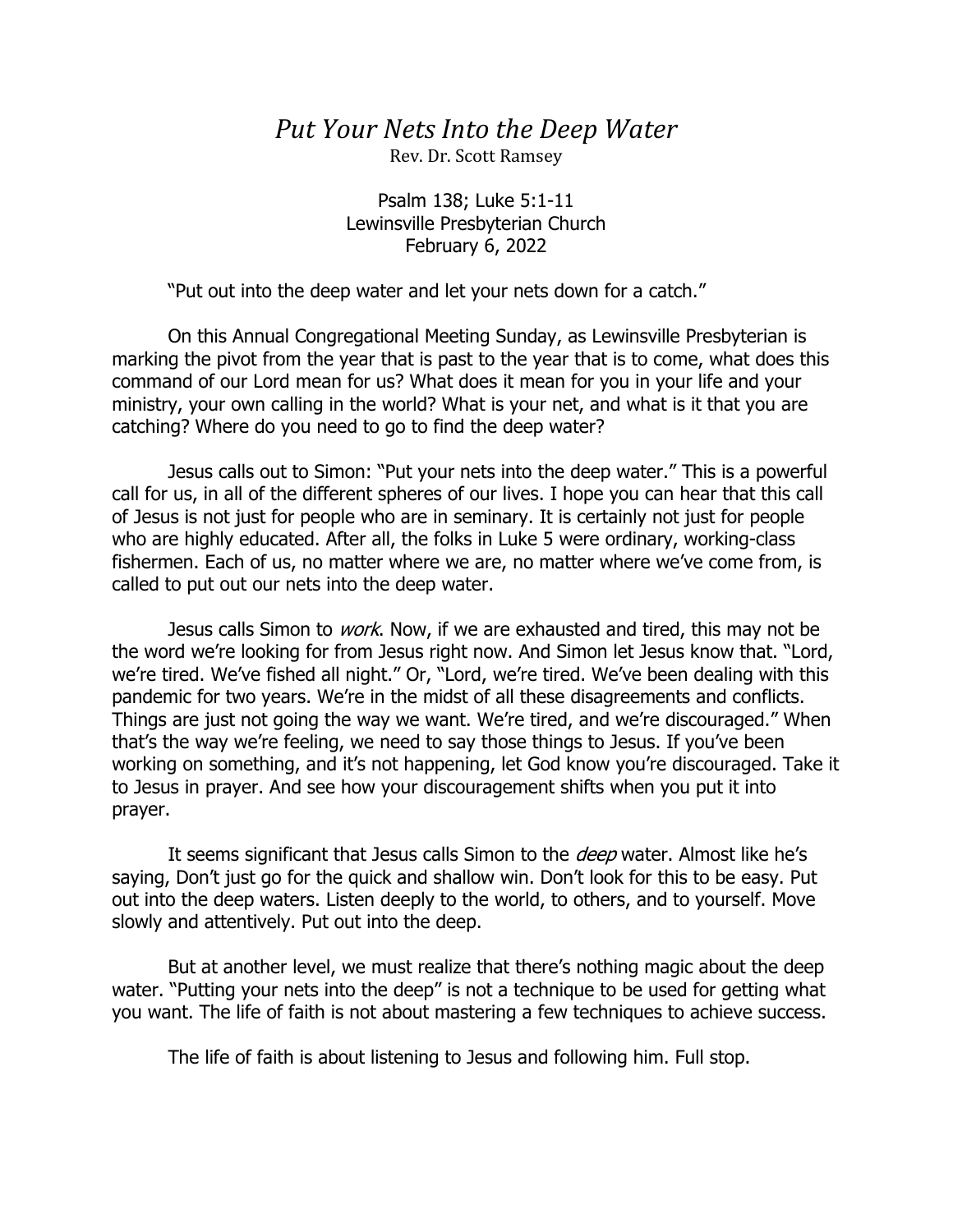## *Put Your Nets Into the Deep Water*

Rev. Dr. Scott Ramsey

Psalm 138; Luke 5:1-11 Lewinsville Presbyterian Church February 6, 2022

"Put out into the deep water and let your nets down for a catch."

On this Annual Congregational Meeting Sunday, as Lewinsville Presbyterian is marking the pivot from the year that is past to the year that is to come, what does this command of our Lord mean for us? What does it mean for you in your life and your ministry, your own calling in the world? What is your net, and what is it that you are catching? Where do you need to go to find the deep water?

Jesus calls out to Simon: "Put your nets into the deep water." This is a powerful call for us, in all of the different spheres of our lives. I hope you can hear that this call of Jesus is not just for people who are in seminary. It is certainly not just for people who are highly educated. After all, the folks in Luke 5 were ordinary, working-class fishermen. Each of us, no matter where we are, no matter where we've come from, is called to put out our nets into the deep water.

Jesus calls Simon to *work*. Now, if we are exhausted and tired, this may not be the word we're looking for from Jesus right now. And Simon let Jesus know that. "Lord, we're tired. We've fished all night." Or, "Lord, we're tired. We've been dealing with this pandemic for two years. We're in the midst of all these disagreements and conflicts. Things are just not going the way we want. We're tired, and we're discouraged." When that's the way we're feeling, we need to say those things to Jesus. If you've been working on something, and it's not happening, let God know you're discouraged. Take it to Jesus in prayer. And see how your discouragement shifts when you put it into prayer.

It seems significant that Jesus calls Simon to the *deep* water. Almost like he's saying, Don't just go for the quick and shallow win. Don't look for this to be easy. Put out into the deep waters. Listen deeply to the world, to others, and to yourself. Move slowly and attentively. Put out into the deep.

But at another level, we must realize that there's nothing magic about the deep water. "Putting your nets into the deep" is not a technique to be used for getting what you want. The life of faith is not about mastering a few techniques to achieve success.

The life of faith is about listening to Jesus and following him. Full stop.